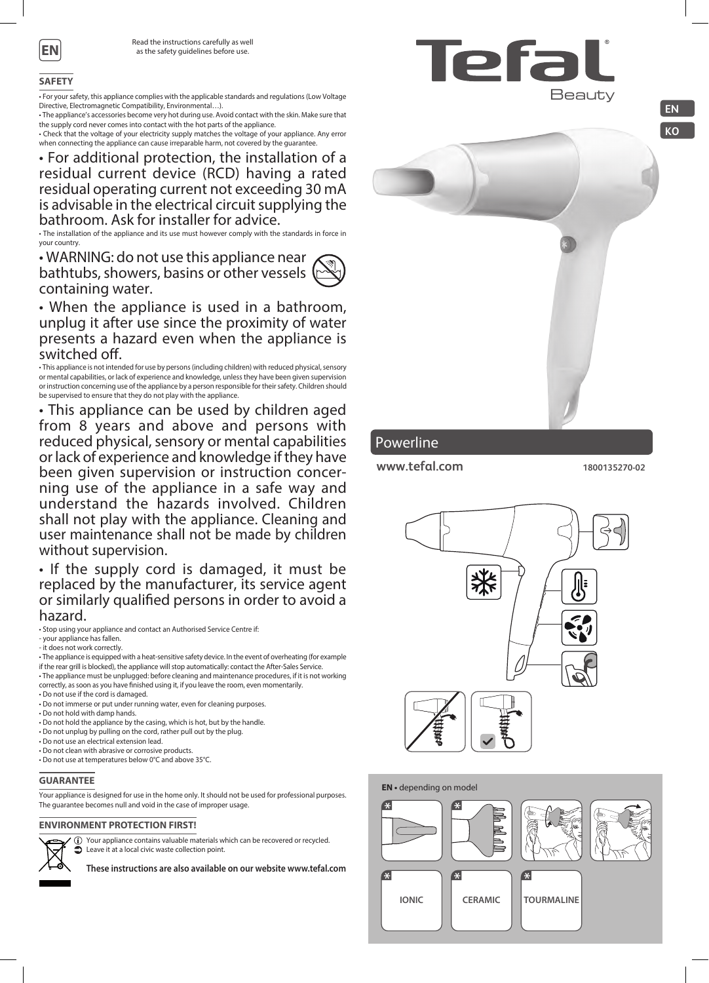

### **SAFETY**

• For your safety, this appliance complies with the applicable standards and regulations (Low Voltage Directive, Electromagnetic Compatibility, Environmental…).

• The appliance's accessories become very hot during use. Avoid contact with the skin. Make sure that the supply cord never comes into contact with the hot parts of the appliance.

• Check that the voltage of your electricity supply matches the voltage of your appliance. Any error when connecting the appliance can cause irreparable harm, not covered by the guarantee.

# • For additional protection, the installation of a residual current device (RCD) having a rated residual operating current not exceeding 30 mA is advisable in the electrical circuit supplying the bathroom. Ask for installer for advice.

• The installation of the appliance and its use must however comply with the standards in force in your country.

• WARNING: do not use this appliance near bathtubs, showers, basins or other vessels ( containing water.



• When the appliance is used in a bathroom, unplug it after use since the proximity of water presents a hazard even when the appliance is switched off.

• This appliance is not intended for use by persons (including children) with reduced physical, sensory or mental capabilities, or lack of experience and knowledge, unless they have been given supervision or instruction concerning use of the appliance by a person responsible for their safety. Children should be supervised to ensure that they do not play with the appliance.

• This appliance can be used by children aged from 8 years and above and persons with reduced physical, sensory or mental capabilities or lack of experience and knowledge if they have been given supervision or instruction concer- ning use of the appliance in a safe way and understand the hazards involved. Children shall not play with the appliance. Cleaning and user maintenance shall not be made by children without supervision.

• If the supply cord is damaged, it must be replaced by the manufacturer, its service agent or similarly qualified persons in order to avoid a hazard.

• Stop using your appliance and contact an Authorised Service Centre if:

- your appliance has fallen.

- it does not work correctly.
- The appliance is equipped with a heat-sensitive safety device. In the event of overheating (for example if the rear grill is blocked), the appliance will stop automatically: contact the After-Sales Service.
- The appliance must be unplugged: before cleaning and maintenance procedures, if it is not working correctly, as soon as you have finished using it, if you leave the room, even momentarily. • Do not use if the cord is damaged.
- 
- Do not immerse or put under running water, even for cleaning purposes.
- Do not hold with damp hands.
- Do not hold the appliance by the casing, which is hot, but by the handle. • Do not unplug by pulling on the cord, rather pull out by the plug.
- 
- Do not use an electrical extension lead. • Do not clean with abrasive or corrosive products.
- Do not use at temperatures below 0°C and above 35°C.
- 

## **GUARANTEE**

Your appliance is designed for use in the home only. It should not be used for professional purposes. The guarantee becomes null and void in the case of improper usage.

## **ENVIRONMENT PROTECTION FIRST!**

Your appliance contains valuable materials which can be recovered or recycled. Leave it at a local civic waste collection point.

**These instructions are also available on our website www.tefal.com**



# Powerline

**www.tefal.com 1800135270-02**



### **EN •** depending on model